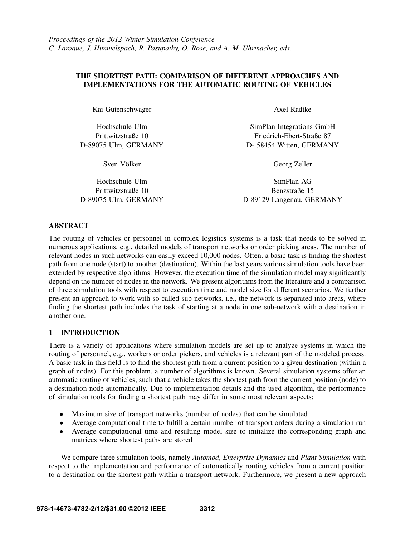# THE SHORTEST PATH: COMPARISON OF DIFFERENT APPROACHES AND IMPLEMENTATIONS FOR THE AUTOMATIC ROUTING OF VEHICLES

Kai Gutenschwager

Hochschule Ulm Prittwitzstraße 10 D-89075 Ulm, GERMANY

Sven Völker

Hochschule Ulm Prittwitzstraße 10 D-89075 Ulm, GERMANY Axel Radtke

SimPlan Integrations GmbH Friedrich-Ebert-Straße 87 D- 58454 Witten, GERMANY

Georg Zeller

SimPlan AG Benzstraße 15 D-89129 Langenau, GERMANY

# ABSTRACT

The routing of vehicles or personnel in complex logistics systems is a task that needs to be solved in numerous applications, e.g., detailed models of transport networks or order picking areas. The number of relevant nodes in such networks can easily exceed 10,000 nodes. Often, a basic task is finding the shortest path from one node (start) to another (destination). Within the last years various simulation tools have been extended by respective algorithms. However, the execution time of the simulation model may significantly depend on the number of nodes in the network. We present algorithms from the literature and a comparison of three simulation tools with respect to execution time and model size for different scenarios. We further present an approach to work with so called sub-networks, i.e., the network is separated into areas, where finding the shortest path includes the task of starting at a node in one sub-network with a destination in another one.

# 1 INTRODUCTION

There is a variety of applications where simulation models are set up to analyze systems in which the routing of personnel, e.g., workers or order pickers, and vehicles is a relevant part of the modeled process. A basic task in this field is to find the shortest path from a current position to a given destination (within a graph of nodes). For this problem, a number of algorithms is known. Several simulation systems offer an automatic routing of vehicles, such that a vehicle takes the shortest path from the current position (node) to a destination node automatically. Due to implementation details and the used algorithm, the performance of simulation tools for finding a shortest path may differ in some most relevant aspects:

- Maximum size of transport networks (number of nodes) that can be simulated
- Average computational time to fulfill a certain number of transport orders during a simulation run
- Average computational time and resulting model size to initialize the corresponding graph and matrices where shortest paths are stored

We compare three simulation tools, namely *Automod*, *Enterprise Dynamics* and *Plant Simulation* with respect to the implementation and performance of automatically routing vehicles from a current position to a destination on the shortest path within a transport network. Furthermore, we present a new approach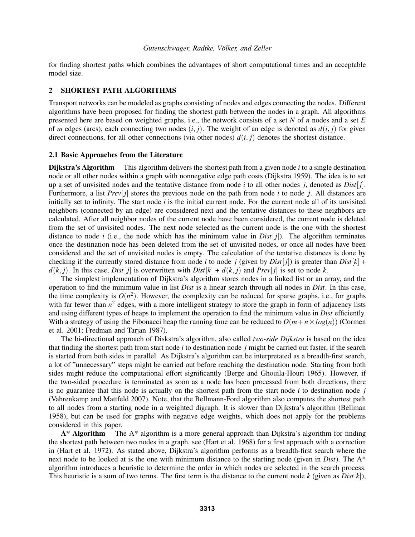for finding shortest paths which combines the advantages of short computational times and an acceptable model size.

## 2 SHORTEST PATH ALGORITHMS

Transport networks can be modeled as graphs consisting of nodes and edges connecting the nodes. Different algorithms have been proposed for finding the shortest path between the nodes in a graph. All algorithms presented here are based on weighted graphs, i.e., the network consists of a set *N* of *n* nodes and a set *E* of *m* edges (arcs), each connecting two nodes  $(i, j)$ . The weight of an edge is denoted as  $d(i, j)$  for given direct connections, for all other connections (via other nodes)  $d(i, j)$  denotes the shortest distance.

## 2.1 Basic Approaches from the Literature

Dijkstra's Algorithm This algorithm delivers the shortest path from a given node *i* to a single destination node or all other nodes within a graph with nonnegative edge path costs (Dijkstra 1959). The idea is to set up a set of unvisited nodes and the tentative distance from node *i* to all other nodes *j*, denoted as *Dist*[ *j*]. Furthermore, a list *Prev*[*j*] stores the previous node on the path from node *i* to node *j*. All distances are initially set to infinity. The start node *i* is the initial current node. For the current node all of its unvisited neighbors (connected by an edge) are considered next and the tentative distances to these neighbors are calculated. After all neighbor nodes of the current node have been considered, the current node is deleted from the set of unvisited nodes. The next node selected as the current node is the one with the shortest distance to node *i* (i.e., the node which has the minimum value in  $Dist[j]$ ). The algorithm terminates once the destination node has been deleted from the set of unvisited nodes, or once all nodes have been considered and the set of unvisited nodes is empty. The calculation of the tentative distances is done by checking if the currently stored distance from node *i* to node *j* (given by *Dist*[*j*]) is greater than *Dist*[*k*] +  $d(k, j)$ . In this case, *Dist*[*i*] is overwritten with *Dist*[ $k$ ] +  $d(k, j)$  and *Prev*[*j*] is set to node *k*.

The simplest implementation of Dijkstra's algorithm stores nodes in a linked list or an array, and the operation to find the minimum value in list *Dist* is a linear search through all nodes in *Dist*. In this case, the time complexity is  $O(n^2)$ . However, the complexity can be reduced for sparse graphs, i.e., for graphs with far fewer than  $n^2$  edges, with a more intelligent strategy to store the graph in form of adjacency lists and using different types of heaps to implement the operation to find the minimum value in *Dist* efficiently. With a strategy of using the Fibonacci heap the running time can be reduced to  $O(m+n \times log(n))$  (Cormen et al. 2001; Fredman and Tarjan 1987).

The bi-directional approach of Diskstra's algorithm, also called *two-side Dijkstra* is based on the idea that finding the shortest path from start node *i* to destination node *j* might be carried out faster, if the search is started from both sides in parallel. As Dijkstra's algorithm can be interpretated as a breadth-first search, a lot of "unnecessary" steps might be carried out before reaching the destination node. Starting from both sides might reduce the computational effort significantly (Berge and Ghouila-Houri 1965). However, if the two-sided procedure is terminated as soon as a node has been processed from both directions, there is no guarantee that this node is actually on the shortest path from the start node *i* to destination node *j* (Vahrenkamp and Mattfeld 2007). Note, that the Bellmann-Ford algorithm also computes the shortest path to all nodes from a starting node in a weighted digraph. It is slower than Dijkstra's algorithm (Bellman 1958), but can be used for graphs with negative edge weights, which does not apply for the problems considered in this paper.

 $A^*$  Algorithm The  $A^*$  algorithm is a more general approach than Dijkstra's algorithm for finding the shortest path between two nodes in a graph, see (Hart et al. 1968) for a first approach with a correction in (Hart et al. 1972). As stated above, Dijkstra's algorithm performs as a breadth-first search where the next node to be looked at is the one with minimum distance to the starting node (given in *Dist*). The A\* algorithm introduces a heuristic to determine the order in which nodes are selected in the search process. This heuristic is a sum of two terms. The first term is the distance to the current node  $k$  (given as  $Dist[k]$ ),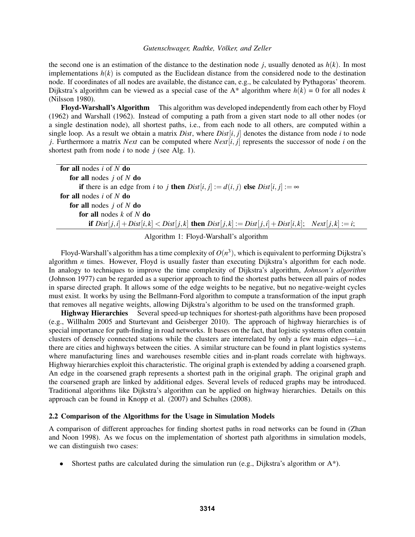the second one is an estimation of the distance to the destination node *j*, usually denoted as  $h(k)$ . In most implementations  $h(k)$  is computed as the Euclidean distance from the considered node to the destination node. If coordinates of all nodes are available, the distance can, e.g., be calculated by Pythagoras' theorem. Dijkstra's algorithm can be viewed as a special case of the  $A^*$  algorithm where  $h(k) = 0$  for all nodes  $k$ (Nilsson 1980).

Floyd-Warshall's Algorithm This algorithm was developed independently from each other by Floyd (1962) and Warshall (1962). Instead of computing a path from a given start node to all other nodes (or a single destination node), all shortest paths, i.e., from each node to all others, are computed within a single loop. As a result we obtain a matrix *Dist*, where  $Dist[i, j]$  denotes the distance from node *i* to node *j*. Furthermore a matrix *Next* can be computed where *Next*[*i*, *j*] represents the successor of node *i* on the shortest path from node *i* to node *j* (see Alg. 1).

| for all nodes $i$ of $N$ do                                                                                  |  |
|--------------------------------------------------------------------------------------------------------------|--|
| for all nodes $j$ of $N$ do                                                                                  |  |
| if there is an edge from i to j then $Dist[i, j] := d(i, j)$ else $Dist[i, j] := \infty$                     |  |
| <b>for all</b> nodes i of N do                                                                               |  |
| for all nodes $j$ of $N$ do                                                                                  |  |
| for all nodes $k$ of $N$ do                                                                                  |  |
| if $Dist[j, i] + Dist[i, k] < Dist[j, k]$ then $Dist[j, k] := Dist[j, i] + Dist[i, k]$ ; $Next[j, k] := i$ ; |  |

Algorithm 1: Floyd-Warshall's algorithm

Floyd-Warshall's algorithm has a time complexity of  $O(n^3)$ , which is equivalent to performing Dijkstra's algorithm *n* times. However, Floyd is usually faster than executing Dijkstra's algorithm for each node. In analogy to techniques to improve the time complexity of Dijkstra's algorithm, *Johnson's algorithm* (Johnson 1977) can be regarded as a superior approach to find the shortest paths between all pairs of nodes in sparse directed graph. It allows some of the edge weights to be negative, but no negative-weight cycles must exist. It works by using the Bellmann-Ford algorithm to compute a transformation of the input graph that removes all negative weights, allowing Dijkstra's algorithm to be used on the transformed graph.

Highway Hierarchies Several speed-up techniques for shortest-path algorithms have been proposed (e.g., Willhalm 2005 and Sturtevant and Geisberger 2010). The approach of highway hierarchies is of special importance for path-finding in road networks. It bases on the fact, that logistic systems often contain clusters of densely connected stations while the clusters are interrelated by only a few main edges—i.e., there are cities and highways between the cities. A similar structure can be found in plant logistics systems where manufacturing lines and warehouses resemble cities and in-plant roads correlate with highways. Highway hierarchies exploit this characteristic. The original graph is extended by adding a coarsened graph. An edge in the coarsened graph represents a shortest path in the original graph. The original graph and the coarsened graph are linked by additional edges. Several levels of reduced graphs may be introduced. Traditional algorithms like Dijkstra's algorithm can be applied on highway hierarchies. Details on this approach can be found in Knopp et al. (2007) and Schultes (2008).

#### 2.2 Comparison of the Algorithms for the Usage in Simulation Models

A comparison of different approaches for finding shortest paths in road networks can be found in (Zhan and Noon 1998). As we focus on the implementation of shortest path algorithms in simulation models, we can distinguish two cases:

Shortest paths are calculated during the simulation run (e.g., Dijkstra's algorithm or  $A^*$ ).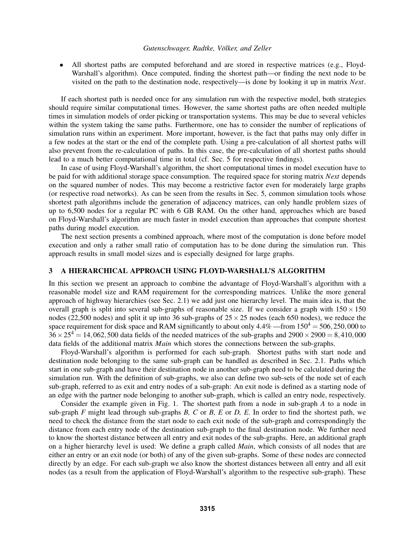• All shortest paths are computed beforehand and are stored in respective matrices (e.g., Floyd-Warshall's algorithm). Once computed, finding the shortest path—or finding the next node to be visited on the path to the destination node, respectively—is done by looking it up in matrix *Next*.

If each shortest path is needed once for any simulation run with the respective model, both strategies should require similar computational times. However, the same shortest paths are often needed multiple times in simulation models of order picking or transportation systems. This may be due to several vehicles within the system taking the same paths. Furthermore, one has to consider the number of replications of simulation runs within an experiment. More important, however, is the fact that paths may only differ in a few nodes at the start or the end of the complete path. Using a pre-calculation of all shortest paths will also prevent from the re-calculation of paths. In this case, the pre-calculation of all shortest paths should lead to a much better computational time in total (cf. Sec. 5 for respective findings).

In case of using Floyd-Warshall's algorithm, the short computational times in model execution have to be paid for with additional storage space consumption. The required space for storing matrix *Next* depends on the squared number of nodes. This may become a restrictive factor even for moderately large graphs (or respective road networks). As can be seen from the results in Sec. 5, common simulation tools whose shortest path algorithms include the generation of adjacency matrices, can only handle problem sizes of up to 6,500 nodes for a regular PC with 6 GB RAM. On the other hand, approaches which are based on Floyd-Warshall's algorithm are much faster in model execution than approaches that compute shortest paths during model execution.

The next section presents a combined approach, where most of the computation is done before model execution and only a rather small ratio of computation has to be done during the simulation run. This approach results in small model sizes and is especially designed for large graphs.

## 3 A HIERARCHICAL APPROACH USING FLOYD-WARSHALL'S ALGORITHM

In this section we present an approach to combine the advantage of Floyd-Warshall's algorithm with a reasonable model size and RAM requirement for the corresponding matrices. Unlike the more general approach of highway hierarchies (see Sec. 2.1) we add just one hierarchy level. The main idea is, that the overall graph is split into several sub-graphs of reasonable size. If we consider a graph with  $150 \times 150$ nodes (22,500 nodes) and split it up into 36 sub-graphs of  $25 \times 25$  nodes (each 650 nodes), we reduce the space requirement for disk space and RAM significantly to about only  $4.4\%$  —from  $150^4 = 506,250,000$  to  $36 \times 25^4 = 14,062,500$  data fields of the needed matrices of the sub-graphs and  $2900 \times 2900 = 8,410,000$ data fields of the additional matrix *Main* which stores the connections between the sub-graphs.

Floyd-Warshall's algorithm is performed for each sub-graph. Shortest paths with start node and destination node belonging to the same sub-graph can be handled as described in Sec. 2.1. Paths which start in one sub-graph and have their destination node in another sub-graph need to be calculated during the simulation run. With the definition of sub-graphs, we also can define two sub-sets of the node set of each sub-graph, referred to as exit and entry nodes of a sub-graph: An exit node is defined as a starting node of an edge with the partner node belonging to another sub-graph, which is called an entry node, respectively.

Consider the example given in Fig. 1. The shortest path from a node in sub-graph *A* to a node in sub-graph *F* might lead through sub-graphs *B, C* or *B, E* or *D, E*. In order to find the shortest path, we need to check the distance from the start node to each exit node of the sub-graph and correspondingly the distance from each entry node of the destination sub-graph to the final destination node. We further need to know the shortest distance between all entry and exit nodes of the sub-graphs. Here, an additional graph on a higher hierarchy level is used: We define a graph called *Main*, which consists of all nodes that are either an entry or an exit node (or both) of any of the given sub-graphs. Some of these nodes are connected directly by an edge. For each sub-graph we also know the shortest distances between all entry and all exit nodes (as a result from the application of Floyd-Warshall's algorithm to the respective sub-graph). These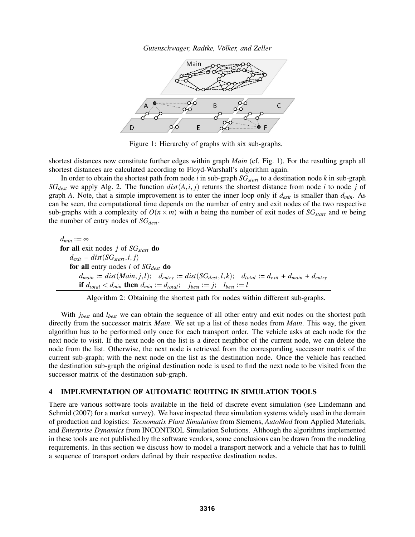*Gutenschwager, Radtke, Volker, and Zeller ¨*



Figure 1: Hierarchy of graphs with six sub-graphs.

shortest distances now constitute further edges within graph *Main* (cf. Fig. 1). For the resulting graph all shortest distances are calculated according to Floyd-Warshall's algorithm again.

In order to obtain the shortest path from node *i* in sub-graph *SGstart* to a destination node *k* in sub-graph  $SG_{dest}$  we apply Alg. 2. The function  $dist(A, i, j)$  returns the shortest distance from node *i* to node *j* of graph *A*. Note, that a simple improvement is to enter the inner loop only if  $d_{exit}$  is smaller than  $d_{min}$ . As can be seen, the computational time depends on the number of entry and exit nodes of the two respective sub-graphs with a complexity of  $O(n \times m)$  with *n* being the number of exit nodes of  $SG_{start}$  and *m* being the number of entry nodes of *SGdest*.

 $\overline{d_{min}} := \infty$ for all exit nodes *j* of *SGstart* do  $d_{exit} = dist(SG_{start}, i, j)$ for all entry nodes *l* of *SGdest* do  $d_{main} := dist(Main, j, l);$   $d_{entry} := dist(SG_{dest}, l, k);$   $d_{total} := d_{exit} + d_{main} + d_{entry}$ if  $d_{total} < d_{min}$  then  $d_{min} := d_{total}$ ;  $j_{best} := j$ ;  $l_{best} := l$ 

Algorithm 2: Obtaining the shortest path for nodes within different sub-graphs.

With *j<sub>best</sub>* and *l<sub>best</sub>* we can obtain the sequence of all other entry and exit nodes on the shortest path directly from the successor matrix *Main*. We set up a list of these nodes from *Main*. This way, the given algorithm has to be performed only once for each transport order. The vehicle asks at each node for the next node to visit. If the next node on the list is a direct neighbor of the current node, we can delete the node from the list. Otherwise, the next node is retrieved from the corresponding successor matrix of the current sub-graph; with the next node on the list as the destination node. Once the vehicle has reached the destination sub-graph the original destination node is used to find the next node to be visited from the successor matrix of the destination sub-graph.

## 4 IMPLEMENTATION OF AUTOMATIC ROUTING IN SIMULATION TOOLS

There are various software tools available in the field of discrete event simulation (see Lindemann and Schmid (2007) for a market survey). We have inspected three simulation systems widely used in the domain of production and logistics: *Tecnomatix Plant Simulation* from Siemens, *AutoMod* from Applied Materials, and *Enterprise Dynamics* from INCONTROL Simulation Solutions. Although the algorithms implemented in these tools are not published by the software vendors, some conclusions can be drawn from the modeling requirements. In this section we discuss how to model a transport network and a vehicle that has to fulfill a sequence of transport orders defined by their respective destination nodes.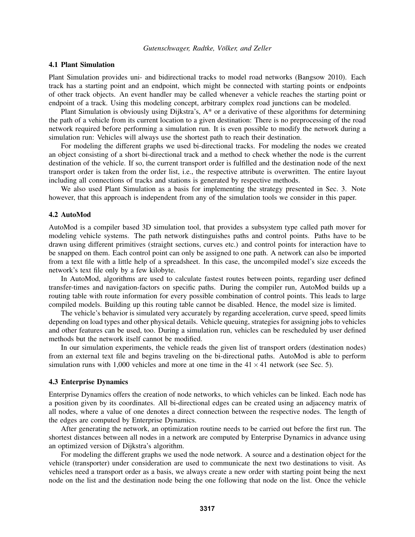## 4.1 Plant Simulation

Plant Simulation provides uni- and bidirectional tracks to model road networks (Bangsow 2010). Each track has a starting point and an endpoint, which might be connected with starting points or endpoints of other track objects. An event handler may be called whenever a vehicle reaches the starting point or endpoint of a track. Using this modeling concept, arbitrary complex road junctions can be modeled.

Plant Simulation is obviously using Dijkstra's, A\* or a derivative of these algorithms for determining the path of a vehicle from its current location to a given destination: There is no preprocessing of the road network required before performing a simulation run. It is even possible to modify the network during a simulation run: Vehicles will always use the shortest path to reach their destination.

For modeling the different graphs we used bi-directional tracks. For modeling the nodes we created an object consisting of a short bi-directional track and a method to check whether the node is the current destination of the vehicle. If so, the current transport order is fulfilled and the destination node of the next transport order is taken from the order list, i.e., the respective attribute is overwritten. The entire layout including all connections of tracks and stations is generated by respective methods.

We also used Plant Simulation as a basis for implementing the strategy presented in Sec. 3. Note however, that this approach is independent from any of the simulation tools we consider in this paper.

#### 4.2 AutoMod

AutoMod is a compiler based 3D simulation tool, that provides a subsystem type called path mover for modeling vehicle systems. The path network distinguishes paths and control points. Paths have to be drawn using different primitives (straight sections, curves etc.) and control points for interaction have to be snapped on them. Each control point can only be assigned to one path. A network can also be imported from a text file with a little help of a spreadsheet. In this case, the uncompiled model's size exceeds the network's text file only by a few kilobyte.

In AutoMod, algorithms are used to calculate fastest routes between points, regarding user defined transfer-times and navigation-factors on specific paths. During the compiler run, AutoMod builds up a routing table with route information for every possible combination of control points. This leads to large compiled models. Building up this routing table cannot be disabled. Hence, the model size is limited.

The vehicle's behavior is simulated very accurately by regarding acceleration, curve speed, speed limits depending on load types and other physical details. Vehicle queuing, strategies for assigning jobs to vehicles and other features can be used, too. During a simulation run, vehicles can be rescheduled by user defined methods but the network itself cannot be modified.

In our simulation experiments, the vehicle reads the given list of transport orders (destination nodes) from an external text file and begins traveling on the bi-directional paths. AutoMod is able to perform simulation runs with 1,000 vehicles and more at one time in the  $41 \times 41$  network (see Sec. 5).

#### 4.3 Enterprise Dynamics

Enterprise Dynamics offers the creation of node networks, to which vehicles can be linked. Each node has a position given by its coordinates. All bi-directional edges can be created using an adjacency matrix of all nodes, where a value of one denotes a direct connection between the respective nodes. The length of the edges are computed by Enterprise Dynamics.

After generating the network, an optimization routine needs to be carried out before the first run. The shortest distances between all nodes in a network are computed by Enterprise Dynamics in advance using an optimized version of Dijkstra's algorithm.

For modeling the different graphs we used the node network. A source and a destination object for the vehicle (transporter) under consideration are used to communicate the next two destinations to visit. As vehicles need a transport order as a basis, we always create a new order with starting point being the next node on the list and the destination node being the one following that node on the list. Once the vehicle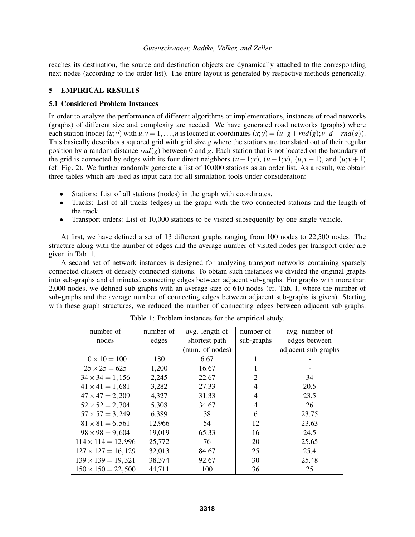reaches its destination, the source and destination objects are dynamically attached to the corresponding next nodes (according to the order list). The entire layout is generated by respective methods generically.

## 5 EMPIRICAL RESULTS

### 5.1 Considered Problem Instances

In order to analyze the performance of different algorithms or implementations, instances of road networks (graphs) of different size and complexity are needed. We have generated road networks (graphs) where each station (node)  $(u; v)$  with  $u, v = 1, \ldots, n$  is located at coordinates  $(x; y) = (u \cdot g + rnd(g); v \cdot d + rnd(g)).$ This basically describes a squared grid with grid size *g* where the stations are translated out of their regular position by a random distance *rnd*(*g*) between 0 and *g*. Each station that is not located on the boundary of the grid is connected by edges with its four direct neighbors  $(u-1; v)$ ,  $(u+1; v)$ ,  $(u, v-1)$ , and  $(u; v+1)$ (cf. Fig. 2). We further randomly generate a list of 10.000 stations as an order list. As a result, we obtain three tables which are used as input data for all simulation tools under consideration:

- Stations: List of all stations (nodes) in the graph with coordinates.
- Tracks: List of all tracks (edges) in the graph with the two connected stations and the length of the track.
- Transport orders: List of 10,000 stations to be visited subsequently by one single vehicle.

At first, we have defined a set of 13 different graphs ranging from 100 nodes to 22,500 nodes. The structure along with the number of edges and the average number of visited nodes per transport order are given in Tab. 1.

A second set of network instances is designed for analyzing transport networks containing sparsely connected clusters of densely connected stations. To obtain such instances we divided the original graphs into sub-graphs and eliminated connecting edges between adjacent sub-graphs. For graphs with more than 2,000 nodes, we defined sub-graphs with an average size of 610 nodes (cf. Tab. 1, where the number of sub-graphs and the average number of connecting edges between adjacent sub-graphs is given). Starting with these graph structures, we reduced the number of connecting edges between adjacent sub-graphs.

| number of                 | number of | avg. length of  | number of      | avg. number of      |  |
|---------------------------|-----------|-----------------|----------------|---------------------|--|
| nodes                     | edges     | shortest path   | sub-graphs     | edges between       |  |
|                           |           | (num. of nodes) |                | adjacent sub-graphs |  |
| $10 \times 10 = 100$      | 180       | 6.67            |                |                     |  |
| $25 \times 25 = 625$      | 1,200     | 16.67           | 1              |                     |  |
| $34 \times 34 = 1,156$    | 2,245     | 22.67           | $\overline{2}$ | 34                  |  |
| $41 \times 41 = 1,681$    | 3,282     | 27.33           | 4              | 20.5                |  |
| $47 \times 47 = 2,209$    | 4,327     | 31.33           | $\overline{4}$ | 23.5                |  |
| $52 \times 52 = 2,704$    | 5,308     | 34.67           | $\overline{4}$ | 26                  |  |
| $57 \times 57 = 3,249$    | 6,389     | 38              | 6              | 23.75               |  |
| $81 \times 81 = 6,561$    | 12,966    | 54              | 12             | 23.63               |  |
| $98 \times 98 = 9,604$    | 19,019    | 65.33           | 16             | 24.5                |  |
| $114 \times 114 = 12,996$ | 25,772    | 76              | 20             | 25.65               |  |
| $127 \times 127 = 16,129$ | 32,013    | 84.67           | 25             | 25.4                |  |
| $139 \times 139 = 19,321$ | 38,374    | 92.67           | 30             | 25.48               |  |
| $150 \times 150 = 22,500$ | 44,711    | 100             | 36             | 25                  |  |

Table 1: Problem instances for the empirical study.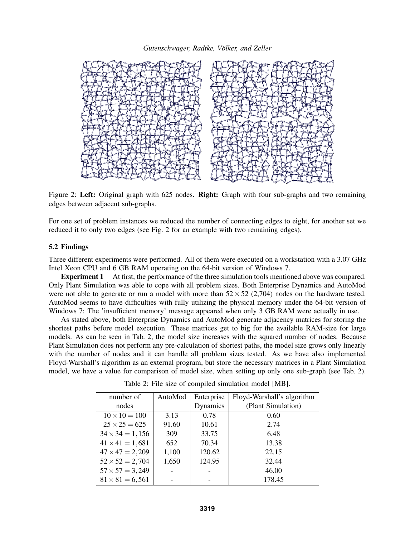

Figure 2: Left: Original graph with 625 nodes. Right: Graph with four sub-graphs and two remaining edges between adjacent sub-graphs.

For one set of problem instances we reduced the number of connecting edges to eight, for another set we reduced it to only two edges (see Fig. 2 for an example with two remaining edges).

## 5.2 Findings

Three different experiments were performed. All of them were executed on a workstation with a 3.07 GHz Intel Xeon CPU and 6 GB RAM operating on the 64-bit version of Windows 7.

**Experiment 1** At first, the performance of the three simulation tools mentioned above was compared. Only Plant Simulation was able to cope with all problem sizes. Both Enterprise Dynamics and AutoMod were not able to generate or run a model with more than  $52 \times 52$  (2,704) nodes on the hardware tested. AutoMod seems to have difficulties with fully utilizing the physical memory under the 64-bit version of Windows 7: The 'insufficient memory' message appeared when only 3 GB RAM were actually in use.

As stated above, both Enterprise Dynamics and AutoMod generate adjacency matrices for storing the shortest paths before model execution. These matrices get to big for the available RAM-size for large models. As can be seen in Tab. 2, the model size increases with the squared number of nodes. Because Plant Simulation does not perform any pre-calculation of shortest paths, the model size grows only linearly with the number of nodes and it can handle all problem sizes tested. As we have also implemented Floyd-Warshall's algorithm as an external program, but store the necessary matrices in a Plant Simulation model, we have a value for comparison of model size, when setting up only one sub-graph (see Tab. 2).

| number of              | AutoMod | Enterprise | Floyd-Warshall's algorithm |
|------------------------|---------|------------|----------------------------|
| nodes                  |         | Dynamics   | (Plant Simulation)         |
| $10 \times 10 = 100$   | 3.13    | 0.78       | 0.60                       |
| $25 \times 25 = 625$   | 91.60   | 10.61      | 2.74                       |
| $34 \times 34 = 1,156$ | 309     | 33.75      | 6.48                       |
| $41 \times 41 = 1,681$ | 652     | 70.34      | 13.38                      |
| $47 \times 47 = 2,209$ | 1,100   | 120.62     | 22.15                      |
| $52 \times 52 = 2,704$ | 1,650   | 124.95     | 32.44                      |
| $57 \times 57 = 3,249$ |         |            | 46.00                      |
| $81 \times 81 = 6,561$ |         |            | 178.45                     |

Table 2: File size of compiled simulation model [MB].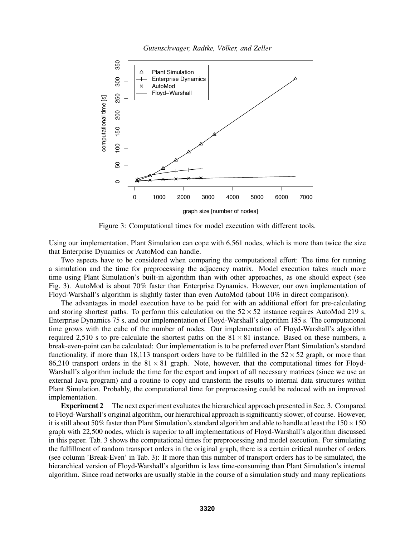



Figure 3: Computational times for model execution with different tools.

Using our implementation, Plant Simulation can cope with 6,561 nodes, which is more than twice the size that Enterprise Dynamics or AutoMod can handle.

Two aspects have to be considered when comparing the computational effort: The time for running a simulation and the time for preprocessing the adjacency matrix. Model execution takes much more time using Plant Simulation's built-in algorithm than with other approaches, as one should expect (see Fig. 3). AutoMod is about 70% faster than Enterprise Dynamics. However, our own implementation of Floyd-Warshall's algorithm is slightly faster than even AutoMod (about 10% in direct comparison).

The advantages in model execution have to be paid for with an additional effort for pre-calculating and storing shortest paths. To perform this calculation on the  $52 \times 52$  instance requires AutoMod 219 s, Enterprise Dynamics 75 s, and our implementation of Floyd-Warshall's algorithm 185 s. The computational time grows with the cube of the number of nodes. Our implementation of Floyd-Warshall's algorithm required 2,510 s to pre-calculate the shortest paths on the  $81 \times 81$  instance. Based on these numbers, a break-even-point can be calculated: Our implementation is to be preferred over Plant Simulation's standard functionality, if more than 18,113 transport orders have to be fulfilled in the  $52 \times 52$  graph, or more than 86,210 transport orders in the  $81 \times 81$  graph. Note, however, that the computational times for Floyd-Warshall's algorithm include the time for the export and import of all necessary matrices (since we use an external Java program) and a routine to copy and transform the results to internal data structures within Plant Simulation. Probably, the computational time for preprocessing could be reduced with an improved implementation.

Experiment 2 The next experiment evaluates the hierarchical approach presented in Sec. 3. Compared to Floyd-Warshall's original algorithm, our hierarchical approach is significantly slower, of course. However, it is still about 50% faster than Plant Simulation's standard algorithm and able to handle at least the  $150 \times 150$ graph with 22,500 nodes, which is superior to all implementations of Floyd-Warshall's algorithm discussed in this paper. Tab. 3 shows the computational times for preprocessing and model execution. For simulating the fulfillment of random transport orders in the original graph, there is a certain critical number of orders (see column 'Break-Even' in Tab. 3): If more than this number of transport orders has to be simulated, the hierarchical version of Floyd-Warshall's algorithm is less time-consuming than Plant Simulation's internal algorithm. Since road networks are usually stable in the course of a simulation study and many replications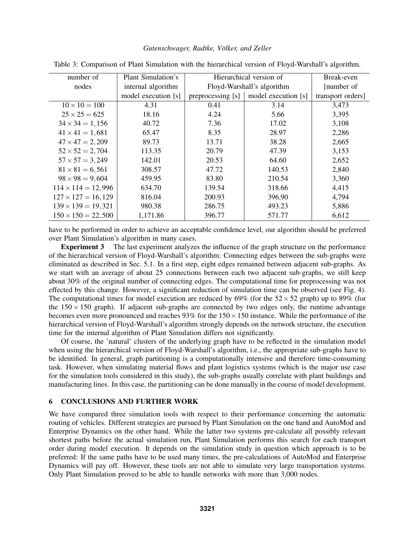| number of                 | Plant Simulation's  | Hierarchical version of    |                     | Break-even        |
|---------------------------|---------------------|----------------------------|---------------------|-------------------|
| nodes                     | internal algorithm  | Floyd-Warshall's algorithm |                     | [number of]       |
|                           | model execution [s] | preprocessing [s]          | model execution [s] | transport orders] |
| $10 \times 10 = 100$      | 4.31                | 0.41                       | 3.14                | 3,473             |
| $25 \times 25 = 625$      | 18.16               | 4.24                       | 5.66                | 3,395             |
| $34 \times 34 = 1,156$    | 40.72               | 7.36                       | 17.02               | 3,108             |
| $41 \times 41 = 1,681$    | 65.47               | 8.35                       | 28.97               | 2,286             |
| $47 \times 47 = 2,209$    | 89.73               | 13.71                      | 38.28               | 2,665             |
| $52 \times 52 = 2,704$    | 113.35              | 20.79                      | 47.39               | 3,153             |
| $57 \times 57 = 3,249$    | 142.01              | 20.53                      | 64.60               | 2,652             |
| $81 \times 81 = 6,561$    | 308.57              | 47.72                      | 140.53              | 2,840             |
| $98 \times 98 = 9,604$    | 459.95              | 83.80                      | 210.54              | 3,360             |
| $114 \times 114 = 12,996$ | 634.70              | 139.54                     | 318.66              | 4,415             |
| $127 \times 127 = 16,129$ | 816.04              | 200.93                     | 396.90              | 4,794             |
| $139 \times 139 = 19,321$ | 980.38              | 286.75                     | 493.23              | 5,886             |
| $150 \times 150 = 22,500$ | 1,171.86            | 396.77                     | 571.77              | 6,612             |

Table 3: Comparison of Plant Simulation with the hierarchical version of Floyd-Warshall's algorithm.

have to be performed in order to achieve an acceptable confidence level, our algorithm should be preferred over Plant Simulation's algorithm in many cases.

Experiment 3 The last experiment analyzes the influence of the graph structure on the performance of the hierarchical version of Floyd-Warshall's algorithm: Connecting edges between the sub-graphs were eliminated as described in Sec. 5.1. In a first step, eight edges remained between adjacent sub-graphs. As we start with an average of about 25 connections between each two adjacent sub-graphs, we still keep about 30% of the original number of connecting edges. The computational time for preprocessing was not effected by this change. However, a significant reduction of simulation time can be observed (see Fig. 4). The computational times for model execution are reduced by 69% (for the  $52 \times 52$  graph) up to 89% (for the  $150 \times 150$  graph). If adjacent sub-graphs are connected by two edges only, the runtime advantage becomes even more pronounced and reaches  $93\%$  for the  $150 \times 150$  instance. While the performance of the hierarchical version of Floyd-Warshall's algorithm strongly depends on the network structure, the execution time for the internal algorithm of Plant Simulation differs not significantly.

Of course, the 'natural' clusters of the underlying graph have to be reflected in the simulation model when using the hierarchical version of Floyd-Warshall's algorithm, i.e., the appropriate sub-graphs have to be identified. In general, graph partitioning is a computationally intensive and therefore time-consuming task. However, when simulating material flows and plant logistics systems (which is the major use case for the simulation tools considered in this study), the sub-graphs usually correlate with plant buildings and manufacturing lines. In this case, the partitioning can be done manually in the course of model development.

## 6 CONCLUSIONS AND FURTHER WORK

We have compared three simulation tools with respect to their performance concerning the automatic routing of vehicles. Different strategies are pursued by Plant Simulation on the one hand and AutoMod and Enterprise Dynamics on the other hand. While the latter two systems pre-calculate all possibly relevant shortest paths before the actual simulation run, Plant Simulation performs this search for each transport order during model execution. It depends on the simulation study in question which approach is to be preferred: If the same paths have to be used many times, the pre-calculations of AutoMod and Enterprise Dynamics will pay off. However, these tools are not able to simulate very large transportation systems. Only Plant Simulation proved to be able to handle networks with more than 3,000 nodes.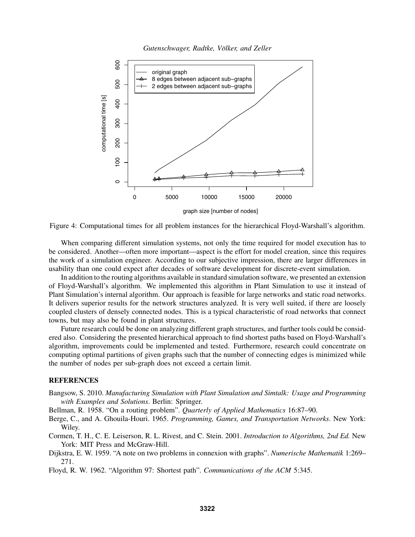*Gutenschwager, Radtke, Volker, and Zeller ¨*



Figure 4: Computational times for all problem instances for the hierarchical Floyd-Warshall's algorithm.

When comparing different simulation systems, not only the time required for model execution has to be considered. Another—often more important—aspect is the effort for model creation, since this requires the work of a simulation engineer. According to our subjective impression, there are larger differences in usability than one could expect after decades of software development for discrete-event simulation.

In addition to the routing algorithms available in standard simulation software, we presented an extension of Floyd-Warshall's algorithm. We implemented this algorithm in Plant Simulation to use it instead of Plant Simulation's internal algorithm. Our approach is feasible for large networks and static road networks. It delivers superior results for the network structures analyzed. It is very well suited, if there are loosely coupled clusters of densely connected nodes. This is a typical characteristic of road networks that connect towns, but may also be found in plant structures.

Future research could be done on analyzing different graph structures, and further tools could be considered also. Considering the presented hierarchical approach to find shortest paths based on Floyd-Warshall's algorithm, improvements could be implemented and tested. Furthermore, research could concentrate on computing optimal partitions of given graphs such that the number of connecting edges is minimized while the number of nodes per sub-graph does not exceed a certain limit.

## **REFERENCES**

Bangsow, S. 2010. *Manufacturing Simulation with Plant Simulation and Simtalk: Usage and Programming with Examples and Solutions*. Berlin: Springer.

Bellman, R. 1958. "On a routing problem". *Quarterly of Applied Mathematics* 16:87–90.

- Berge, C., and A. Ghouila-Houri. 1965. *Programming, Games, and Transportation Networks*. New York: Wiley.
- Cormen, T. H., C. E. Leiserson, R. L. Rivest, and C. Stein. 2001. *Introduction to Algorithms, 2nd Ed.* New York: MIT Press and McGraw-Hill.
- Dijkstra, E. W. 1959. "A note on two problems in connexion with graphs". *Numerische Mathematik* 1:269– 271.

Floyd, R. W. 1962. "Algorithm 97: Shortest path". *Communications of the ACM* 5:345.